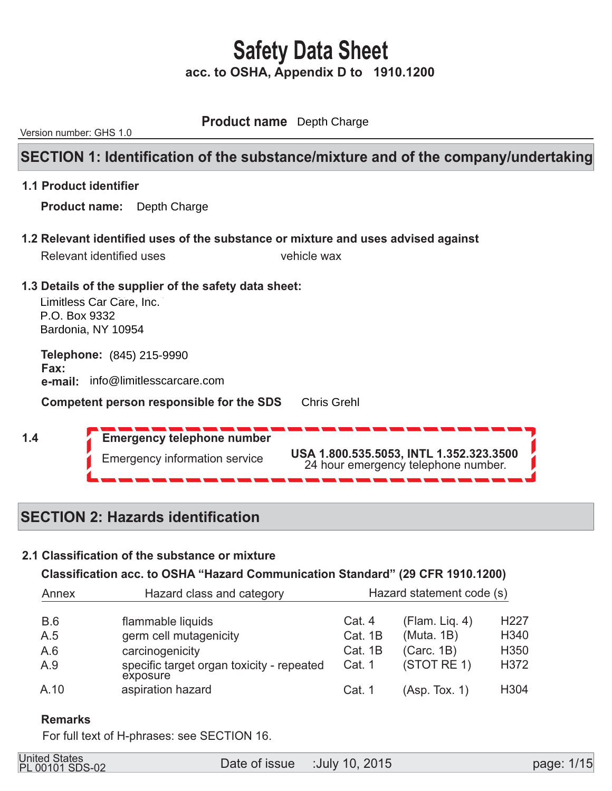**Product name** Depth Charge

Version number: GHS 1.0

### **SECTION 1: Identification of the substance/mixture and of the company/undertaking**

#### **1.1 Product identifier**

 **Product name:**  Depth Charge

 **1.2 Relevant identified uses of the substance or mixture and uses advised against** 

|                 | Relevant identified uses                                                                                  | vehicle wax                                                                    |  |
|-----------------|-----------------------------------------------------------------------------------------------------------|--------------------------------------------------------------------------------|--|
| P.O. Box 9332   | 1.3 Details of the supplier of the safety data sheet:<br>Limitless Car Care, Inc.<br>Bardonia, NY 10954   |                                                                                |  |
| Fax:<br>e-mail: | <b>Telephone: (845) 215-9990</b><br>info@limitlesscarcare.com<br>Competent person responsible for the SDS | <b>Chris Grehl</b>                                                             |  |
| 1.4             | <b>Emergency telephone number</b><br><b>Emergency information service</b>                                 | USA 1.800.535.5053, INTL 1.352.323.3500<br>24 hour emergency telephone number. |  |

## **SECTION 2: Hazards identification**

### **2.1 Classification of the substance or mixture**

### **Classification acc. to OSHA "Hazard Communication Standard" (29 CFR 1910.1200)**

| Hazard class and category<br>Annex |                                                       | Hazard statement code (s) |                |                  |
|------------------------------------|-------------------------------------------------------|---------------------------|----------------|------------------|
| <b>B.6</b>                         | flammable liquids                                     | Cat. 4                    | (Flam. Lig. 4) | H <sub>227</sub> |
| A.5                                | germ cell mutagenicity                                | Cat. 1B                   | (Muta. 1B)     | H340             |
| A.6                                | carcinogenicity                                       | Cat. 1B                   | (Carc. 1B)     | H350             |
| A.9                                | specific target organ toxicity - repeated<br>exposure | Cat. 1                    | (STOT RE 1)    | H372             |
| A.10                               | aspiration hazard                                     | Cat. 1                    | (Asp. Tox. 1)  | H <sub>304</sub> |

#### **Remarks**

For full text of H-phrases: see SECTION 16.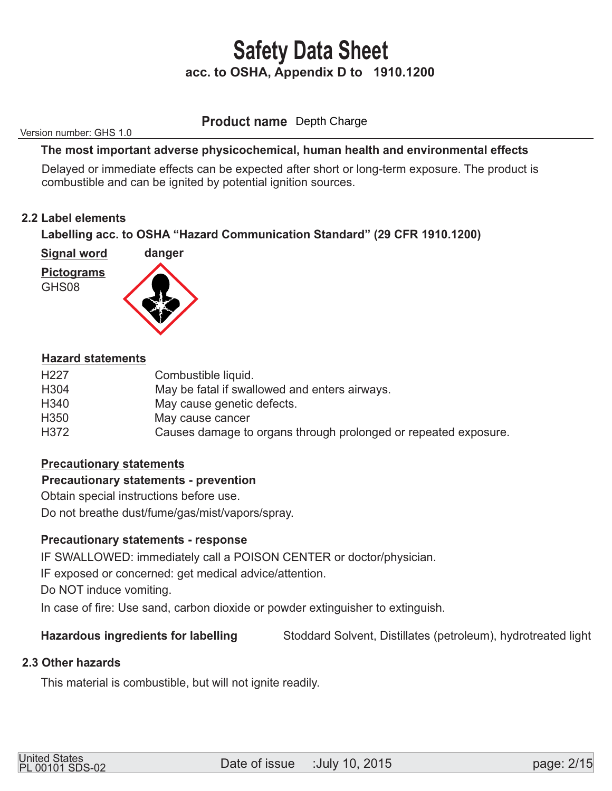**Product name** Depth Charge

Version number: GHS 1.0

#### **The most important adverse physicochemical, human health and environmental effects**

 Delayed or immediate effects can be expected after short or long-term exposure. The product is combustible and can be ignited by potential ignition sources.

#### **2.2 Label elements**

 **Labelling acc. to OSHA "Hazard Communication Standard" (29 CFR 1910.1200)** 

 **Signal word** 



GHS08



#### **Hazard statements**

| H <sub>22</sub> 7 | Combustible liquid.                                             |
|-------------------|-----------------------------------------------------------------|
| H <sub>304</sub>  | May be fatal if swallowed and enters airways.                   |
| H <sub>340</sub>  | May cause genetic defects.                                      |
| H <sub>350</sub>  | May cause cancer                                                |
| H372              | Causes damage to organs through prolonged or repeated exposure. |
|                   |                                                                 |

#### **Precautionary statements**

#### **Precautionary statements - prevention**

Obtain special instructions before use.

Do not breathe dust/fume/gas/mist/vapors/spray.

### **Precautionary statements - response**

IF SWALLOWED: immediately call a POISON CENTER or doctor/physician.

IF exposed or concerned: get medical advice/attention.

Do NOT induce vomiting.

In case of fire: Use sand, carbon dioxide or powder extinguisher to extinguish.

### **Hazardous ingredients for labelling** Stoddard Solvent, Distillates (petroleum), hydrotreated light

### **2.3 Other hazards**

This material is combustible, but will not ignite readily.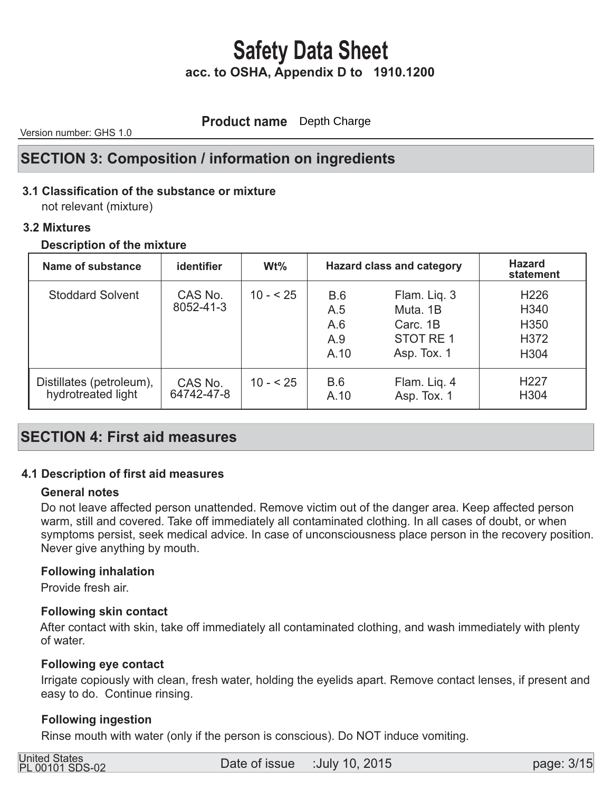**Product name** Depth Charge

Version number: GHS 1.0

### **SECTION 3: Composition / information on ingredients**

### **3.1 Classification of the substance or mixture**

not relevant (mixture)

#### **3.2 Mixtures**

#### **Description of the mixture**

| Name of substance                              | <b>identifier</b>     | $Wt\%$    | <b>Hazard class and category</b> |                                                                 | <b>Hazard</b><br>statement                                               |
|------------------------------------------------|-----------------------|-----------|----------------------------------|-----------------------------------------------------------------|--------------------------------------------------------------------------|
| <b>Stoddard Solvent</b>                        | CAS No.<br>8052-41-3  | $10 - 25$ | B.6<br>A.5<br>A.6<br>A.9<br>A.10 | Flam. Liq. 3<br>Muta, 1B<br>Carc. 1B<br>STOT RE1<br>Asp. Tox. 1 | H <sub>226</sub><br>H340<br>H <sub>350</sub><br>H372<br>H <sub>304</sub> |
| Distillates (petroleum),<br>hydrotreated light | CAS No.<br>64742-47-8 | $10 - 25$ | B.6<br>A.10                      | Flam. Lig. 4<br>Asp. Tox. 1                                     | H <sub>227</sub><br>H304                                                 |

### **SECTION 4: First aid measures**

### **4.1 Description of first aid measures**

#### **General notes**

 Do not leave affected person unattended. Remove victim out of the danger area. Keep affected person warm, still and covered. Take off immediately all contaminated clothing. In all cases of doubt, or when symptoms persist, seek medical advice. In case of unconsciousness place person in the recovery position. Never give anything by mouth.

#### **Following inhalation**

Provide fresh air.

#### **Following skin contact**

 After contact with skin, take off immediately all contaminated clothing, and wash immediately with plenty of water.

#### **Following eye contact**

 Irrigate copiously with clean, fresh water, holding the eyelids apart. Remove contact lenses, if present and easy to do. Continue rinsing.

#### **Following ingestion**

Rinse mouth with water (only if the person is conscious). Do NOT induce vomiting.

| United States          |  |
|------------------------|--|
| <b>PL 00101 SDS-02</b> |  |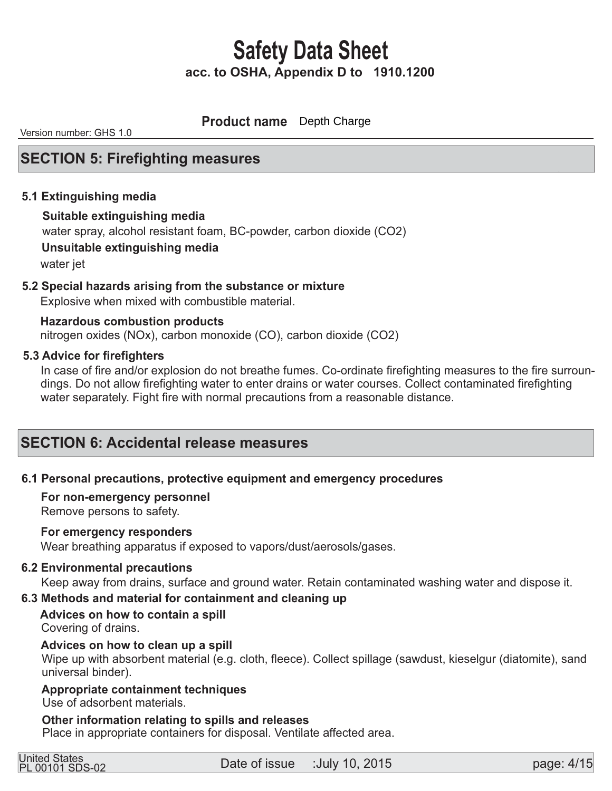**Product name** Depth Charge

Version number: GHS 1.0

### **SECTION 5: Firefighting measures**

#### **5.1 Extinguishing media**

#### **Suitable extinguishing media**

water spray, alcohol resistant foam, BC-powder, carbon dioxide (CO2)

 **Unsuitable extinguishing media** 

water jet

#### **5.2 Special hazards arising from the substance or mixture**

Explosive when mixed with combustible material.

 nitrogen oxides (NOx), carbon monoxide (CO), carbon dioxide (CO2)  **Hazardous combustion products** 

#### **5.3 Advice for firefighters**

 In case of fire and/or explosion do not breathe fumes. Co-ordinate firefighting measures to the fire surroun dings. Do not allow firefighting water to enter drains or water courses. Collect contaminated firefighting water separately. Fight fire with normal precautions from a reasonable distance.

### **SECTION 6: Accidental release measures**

#### **6.1 Personal precautions, protective equipment and emergency procedures**

#### **For non-emergency personnel**

Remove persons to safety.

#### **For emergency responders**

Wear breathing apparatus if exposed to vapors/dust/aerosols/gases.

#### **6.2 Environmental precautions**

Keep away from drains, surface and ground water. Retain contaminated washing water and dispose it.

#### **6.3 Methods and material for containment and cleaning up**

 **Advices on how to contain a spill** Covering of drains.

#### **Advices on how to clean up a spill**

Wipe up with absorbent material (e.g. cloth, fleece). Collect spillage (sawdust, kieselgur (diatomite), sand universal binder).

### **Appropriate containment techniques**

Use of adsorbent materials.

#### **Other information relating to spills and releases**

Place in appropriate containers for disposal. Ventilate affected area.

| <b>United States</b> |                 |
|----------------------|-----------------|
|                      | PL 00101 SDS-02 |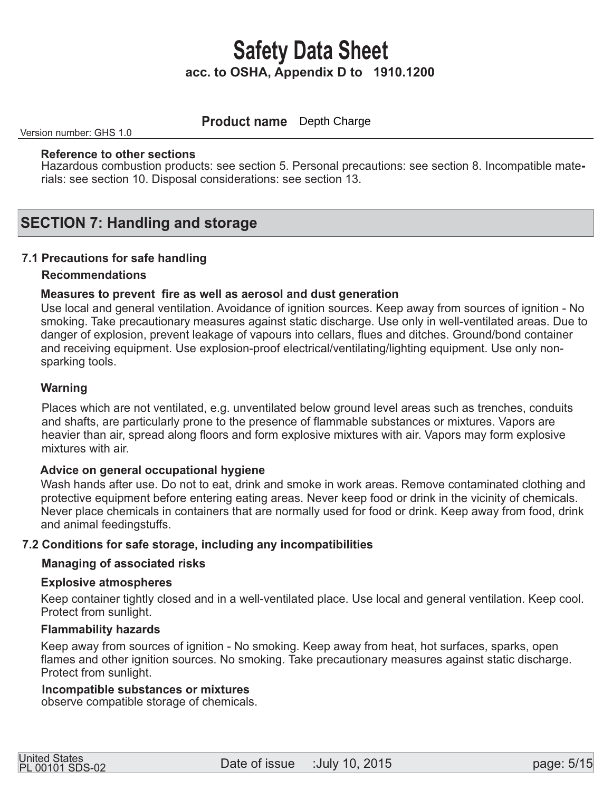**Product name** Depth Charge

Version number: GHS 1.0

#### **Reference to other sections**

Hazardous combustion products: see section 5. Personal precautions: see section 8. Incompatible materials: see section 10. Disposal considerations: see section 13.

### **SECTION 7: Handling and storage**

#### **7.1 Precautions for safe handling**

#### **Recommendations**

#### **Measures to prevent fire as well as aerosol and dust generation**

 Use local and general ventilation. Avoidance of ignition sources. Keep away from sources of ignition - No smoking. Take precautionary measures against static discharge. Use only in well-ventilated areas. Due to danger of explosion, prevent leakage of vapours into cellars, flues and ditches. Ground/bond container and receiving equipment. Use explosion-proof electrical/ventilating/lighting equipment. Use only non sparking tools.

#### **Warning**

 Places which are not ventilated, e.g. unventilated below ground level areas such as trenches, conduits and shafts, are particularly prone to the presence of flammable substances or mixtures. Vapors are heavier than air, spread along floors and form explosive mixtures with air. Vapors may form explosive mixtures with air.

#### **Advice on general occupational hygiene**

 Wash hands after use. Do not to eat, drink and smoke in work areas. Remove contaminated clothing and protective equipment before entering eating areas. Never keep food or drink in the vicinity of chemicals. Never place chemicals in containers that are normally used for food or drink. Keep away from food, drink and animal feedingstuffs.

#### **7.2 Conditions for safe storage, including any incompatibilities**

#### **Managing of associated risks**

#### **Explosive atmospheres**

 Keep container tightly closed and in a well-ventilated place. Use local and general ventilation. Keep cool. Protect from sunlight.

#### **Flammability hazards**

 Keep away from sources of ignition - No smoking. Keep away from heat, hot surfaces, sparks, open flames and other ignition sources. No smoking. Take precautionary measures against static discharge. Protect from sunlight.

#### **Incompatible substances or mixtures**

observe compatible storage of chemicals.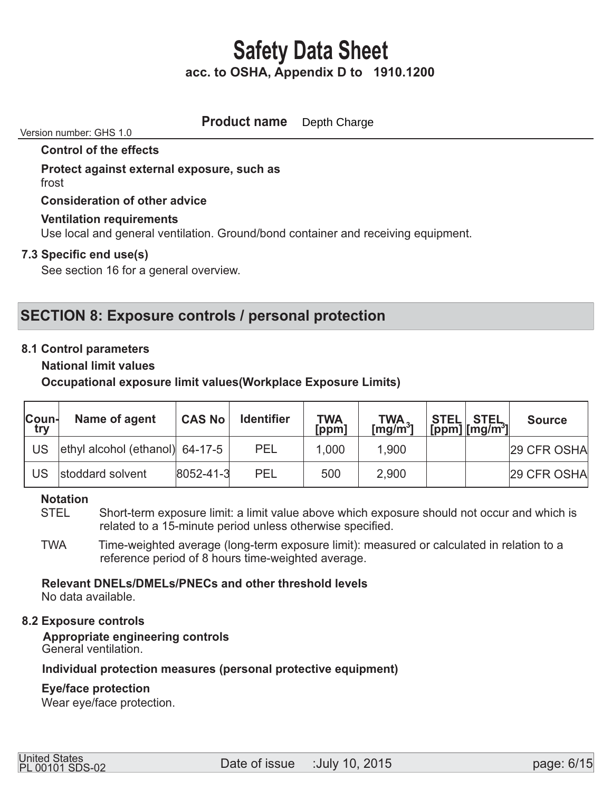#### **Product name** Depth Charge

#### Version number: GHS 1.0

#### **Control of the effects**

#### **Protect against external exposure, such as**  frost

 **Consideration of other advice** 

#### **Ventilation requirements**

Use local and general ventilation. Ground/bond container and receiving equipment.

#### **7.3 Specific end use(s)**

See section 16 for a general overview.

### **SECTION 8: Exposure controls / personal protection**

#### **8.1 Control parameters**

 **National limit values** 

 **Occupational exposure limit values(Workplace Exposure Limits)** 

| Coun-<br>try | Name of agent                   | <b>CAS No</b>     | <b>Identifier</b> | <b>TWA</b><br>$[$ ppm $]$ | $TWA_{2}$<br>[mg/m $^3$ ] | <b>STEL STEL</b><br>$[ppm]$ $[mg/m^3]$ | <b>Source</b> |
|--------------|---------------------------------|-------------------|-------------------|---------------------------|---------------------------|----------------------------------------|---------------|
| US           | ethyl alcohol (ethanol) 64-17-5 |                   | <b>PEL</b>        | 1.000                     | 1,900                     |                                        | 29 CFR OSHA   |
| US           | stoddard solvent                | $ 8052 - 41 - 3 $ | <b>PEL</b>        | 500                       | 2,900                     |                                        | 29 CFR OSHA   |

# **Notation**

Short-term exposure limit: a limit value above which exposure should not occur and which is related to a 15-minute period unless otherwise specified.

 TWA Time-weighted average (long-term exposure limit): measured or calculated in relation to a reference period of 8 hours time-weighted average.

# **Relevant DNELs/DMELs/PNECs and other threshold levels**

No data available.

#### **8.2 Exposure controls**

 **Appropriate engineering controls**  General ventilation.

#### **Individual protection measures (personal protective equipment)**

#### **Eye/face protection**

Wear eye/face protection.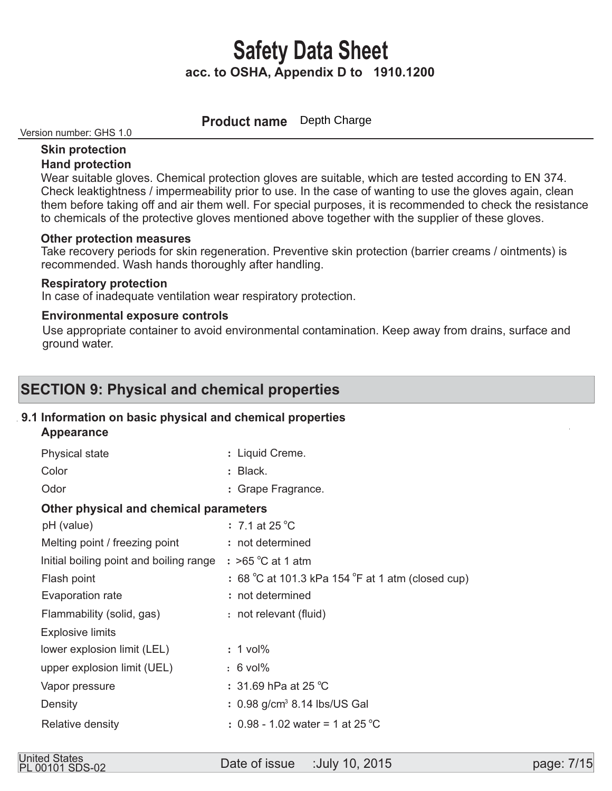**Product name** Depth Charge

Version number: GHS 1.0

#### **Skin protection Hand protection**

 Wear suitable gloves. Chemical protection gloves are suitable, which are tested according to EN 374. Check leaktightness / impermeability prior to use. In the case of wanting to use the gloves again, clean them before taking off and air them well. For special purposes, it is recommended to check the resistance to chemicals of the protective gloves mentioned above together with the supplier of these gloves.

#### **Other protection measures**

 Take recovery periods for skin regeneration. Preventive skin protection (barrier creams / ointments) is recommended. Wash hands thoroughly after handling.

#### **Respiratory protection**

In case of inadequate ventilation wear respiratory protection.

#### **Environmental exposure controls**

 Use appropriate container to avoid environmental contamination. Keep away from drains, surface and ground water.

## **SECTION 9: Physical and chemical properties**

### **9.1 Information on basic physical and chemical properties**

 **Appearance** 

| <b>Physical state</b>                   | : Liquid Creme.                                   |
|-----------------------------------------|---------------------------------------------------|
| Color                                   | : Black.                                          |
| Odor                                    | : Grape Fragrance.                                |
| Other physical and chemical parameters  |                                                   |
| pH (value)                              | $\div$ 7.1 at 25 °C                               |
| Melting point / freezing point          | : not determined                                  |
| Initial boiling point and boiling range | $:$ >65 °C at 1 atm                               |
| Flash point                             | : 68 °C at 101.3 kPa 154 °F at 1 atm (closed cup) |
| Evaporation rate                        | : not determined                                  |
| Flammability (solid, gas)               | : not relevant (fluid)                            |
| <b>Explosive limits</b>                 |                                                   |
| lower explosion limit (LEL)             | $: 1$ vol%                                        |
| upper explosion limit (UEL)             | $: 6$ vol%                                        |
| Vapor pressure                          | : 31.69 hPa at 25 $^{\circ}$ C                    |
| Density                                 | $: 0.98$ g/cm <sup>3</sup> 8.14 lbs/US Gal        |
| Relative density                        | : 0.98 - 1.02 water = 1 at 25 °C                  |
|                                         |                                                   |

Date of issue :July 10, 2015 United States PL 00101 SDS-02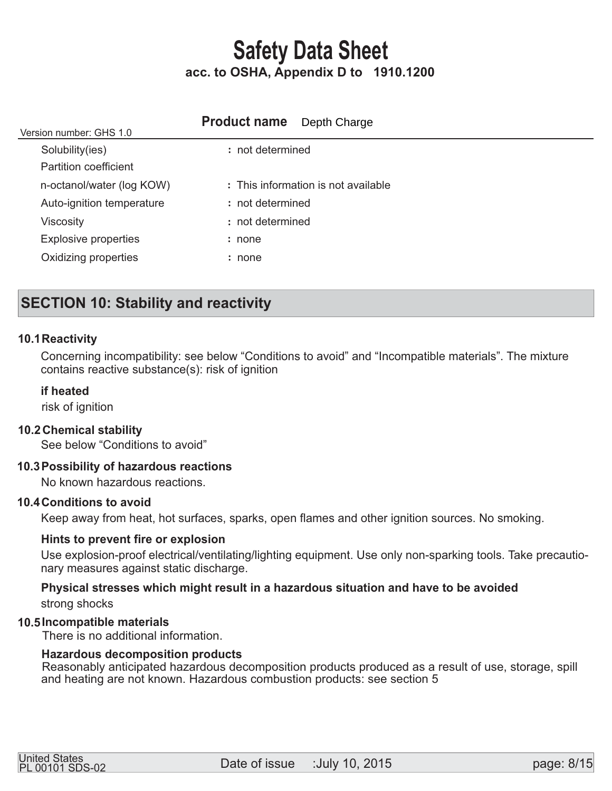| Version number: GHS 1.0     | <b>Product name</b> Depth Charge    |
|-----------------------------|-------------------------------------|
| Solubility(ies)             | : not determined                    |
| Partition coefficient       |                                     |
| n-octanol/water (log KOW)   | : This information is not available |
| Auto-ignition temperature   | : not determined                    |
| <b>Viscosity</b>            | : not determined                    |
| <b>Explosive properties</b> | : none                              |
| Oxidizing properties        | : none                              |
|                             |                                     |

## **SECTION 10: Stability and reactivity**

#### **10.1 Reactivity**

 Concerning incompatibility: see below "Conditions to avoid" and "Incompatible materials". The mixture contains reactive substance(s): risk of ignition

#### **if heated**

risk of ignition

#### **Chemical stability 10.2**

See below "Conditions to avoid"

#### **Possibility of hazardous reactions 10.3**

No known hazardous reactions.

#### **10.4 Conditions to avoid**

Keep away from heat, hot surfaces, sparks, open flames and other ignition sources. No smoking.

#### **Hints to prevent fire or explosion**

 Use explosion-proof electrical/ventilating/lighting equipment. Use only non-sparking tools. Take precautio nary measures against static discharge.

#### **Physical stresses which might result in a hazardous situation and have to be avoided**  strong shocks

#### **Incompatible materials 10.5**

There is no additional information.

#### **Hazardous decomposition products**

Reasonably anticipated hazardous decomposition products produced as a result of use, storage, spill and heating are not known. Hazardous combustion products: see section 5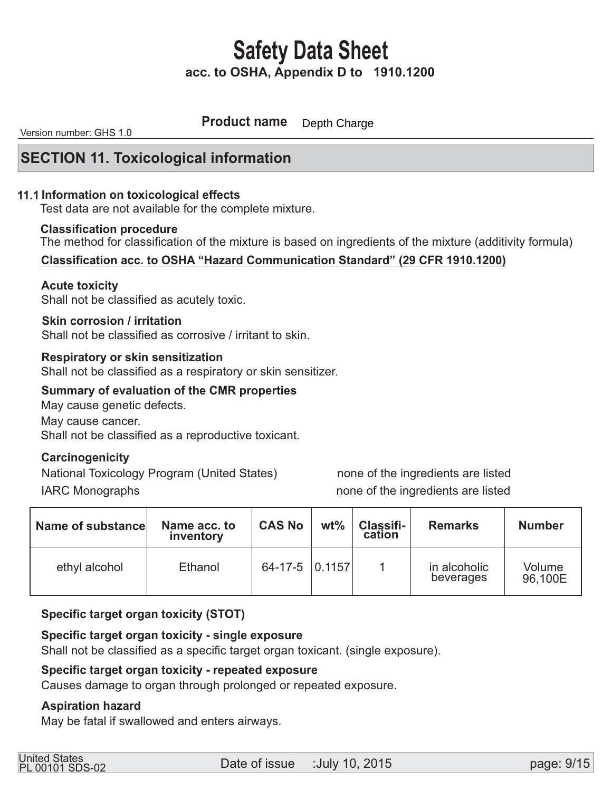**Product name** Depth Charge

Version number: GHS 1.0

### **SECTION 11. Toxicological information**

#### **11.1 Information on toxicological effects**

Test data are not available for the complete mixture.

#### **Classification procedure**

The method for classification of the mixture is based on ingredients of the mixture (additivity formula)

#### **Classification acc. to OSHA "Hazard Communication Standard" (29 CFR 1910.1200)**

#### **Acute toxicity**

Shall not be classified as acutely toxic.

#### **Skin corrosion / irritation**

Shall not be classified as corrosive / irritant to skin.

#### **Respiratory or skin sensitization**

Shall not be classified as a respiratory or skin sensitizer.

#### **Summary of evaluation of the CMR properties**

May cause genetic defects. May cause cancer. Shall not be classified as a reproductive toxicant.

#### **Carcinogenicity**

National Toxicology Program (United States) none of the ingredients are listed IARC Monographs **none** of the ingredients are listed

| Name of substance | Name acc. to<br>inventory | <b>CAS No</b>  | $wt\%$ | Classifi-<br>cation | <b>Remarks</b>            | <b>Number</b>     |
|-------------------|---------------------------|----------------|--------|---------------------|---------------------------|-------------------|
| ethyl alcohol     | Ethanol                   | 64-17-5 0.1157 |        |                     | in alcoholic<br>beverages | Volume<br>96,100E |

#### **Specific target organ toxicity (STOT)**

#### **Specific target organ toxicity - single exposure**

Shall not be classified as a specific target organ toxicant. (single exposure).

#### **Specific target organ toxicity - repeated exposure**

Causes damage to organ through prolonged or repeated exposure.

#### **Aspiration hazard**

May be fatal if swallowed and enters airways.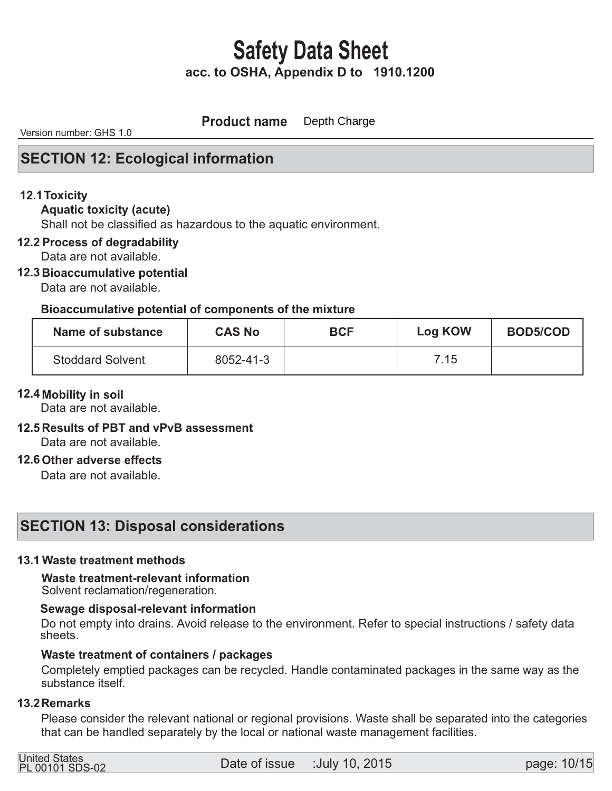**Product name** Depth Charge

Version number: GHS 1.0

### **SECTION 12: Ecological information**

#### **12.1 Toxicity**

#### **Aquatic toxicity (acute)**

Shall not be classified as hazardous to the aquatic environment.

#### **12.2 Process of degradability**

Data are not available.

#### **12.3 Bioaccumulative potential**

Data are not available.

#### **Bioaccumulative potential of components of the mixture**

| Name of substance       | <b>CAS No</b> | <b>BCF</b> | <b>Log KOW</b> | <b>BOD5/COD</b> |
|-------------------------|---------------|------------|----------------|-----------------|
| <b>Stoddard Solvent</b> | 8052-41-3     |            | 7.15           |                 |

#### **12.4 Mobility in soil**

Data are not available.

### **12.5 Results of PBT and vPvB assessment**

Data are not available.

#### **12.6 Other adverse effects**

Data are not available.

### **SECTION 13: Disposal considerations**

#### **13.1 Waste treatment methods**

# **Waste treatment-relevant information**

Solvent reclamation/regeneration.

#### **Sewage disposal-relevant information**

 Do not empty into drains. Avoid release to the environment. Refer to special instructions / safety data sheets.

#### **Waste treatment of containers / packages**

 Completely emptied packages can be recycled. Handle contaminated packages in the same way as the substance itself.

#### **13.2 Remarks**

 Please consider the relevant national or regional provisions. Waste shall be separated into the categories that can be handled separately by the local or national waste management facilities.

| United States<br>PL 00101 SDS-02 |  |  |
|----------------------------------|--|--|
|                                  |  |  |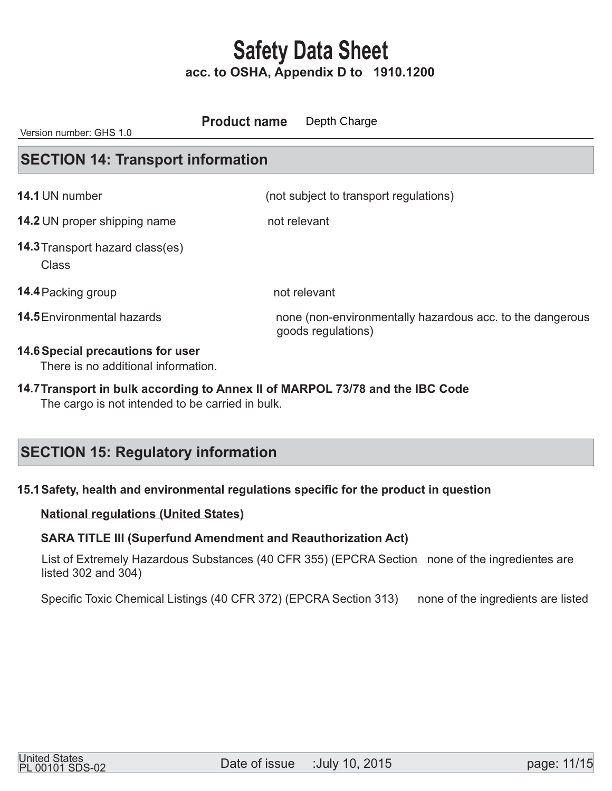**14.6 Special precautions for user**  There is no additional information. **SECTION 14: Transport information** (not subject to transport regulations) **14.2** UN proper shipping name not relevant Class **14.4 Packing group the contract of the contract of the 14.4 Packing group that contract of the contract of the contract of the contract of the contract of the contract of the contract of the contract of the contract of th** none (non-environmentally hazardous acc. to the dangerous goods regulations) **14.3** Transport hazard class(es)  **14.1 14.5** Environmental hazards Version number: GHS 1.0 **Product name** Depth Charge

 The cargo is not intended to be carried in bulk. 14.7 Transport in bulk according to Annex II of MARPOL 73/78 and the IBC Code

## **SECTION 15: Regulatory information**

### **15.1 Safety, health and environmental regulations specific for the product in question**

#### **National regulations (United States)**

#### **SARA TITLE III (Superfund Amendment and Reauthorization Act)**

 List of Extremely Hazardous Substances (40 CFR 355) (EPCRA Section none of the ingredientes are listed 302 and 304)

Specific Toxic Chemical Listings (40 CFR 372) (EPCRA Section 313) none of the ingredients are listed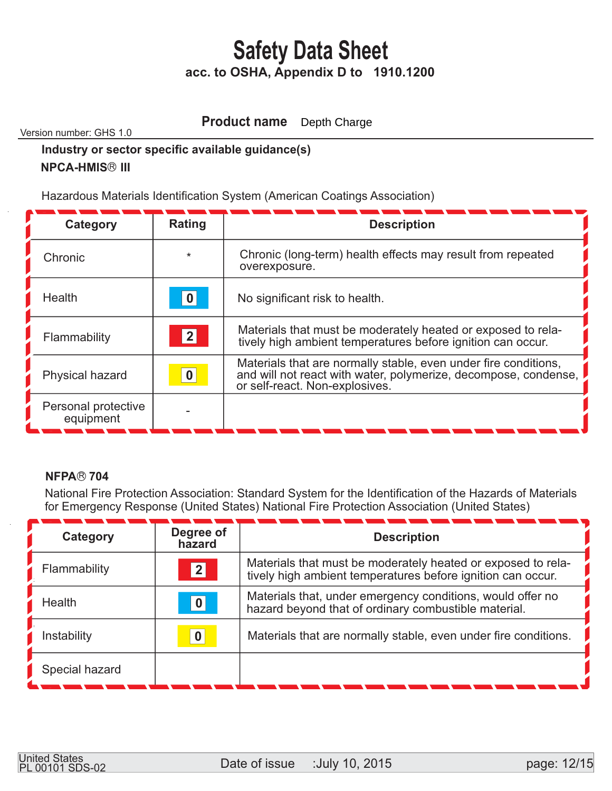#### **Product name** Depth Charge

Version number: GHS 1.0

### **Industry or sector specific available guidance(s) NPCA-HMIS<sup>®</sup> III**

Hazardous Materials Identification System (American Coatings Association)

| Category                         | Rating  | <b>Description</b>                                                                                                                                                   |
|----------------------------------|---------|----------------------------------------------------------------------------------------------------------------------------------------------------------------------|
| Chronic                          | $\star$ | Chronic (long-term) health effects may result from repeated<br>overexposure.                                                                                         |
| <b>Health</b>                    | 0       | No significant risk to health.                                                                                                                                       |
| Flammability                     | 2       | Materials that must be moderately heated or exposed to rela-<br>tively high ambient temperatures before ignition can occur.                                          |
| Physical hazard                  | 0       | Materials that are normally stable, even under fire conditions,<br>and will not react with water, polymerize, decompose, condense,<br>or self-react. Non-explosives. |
| Personal protective<br>equipment |         |                                                                                                                                                                      |

### **NFPA® 704**

 National Fire Protection Association: Standard System for the Identification of the Hazards of Materials for Emergency Response (United States) National Fire Protection Association (United States)

| Category       | Degree of<br>hazard | <b>Description</b>                                                                                                          |
|----------------|---------------------|-----------------------------------------------------------------------------------------------------------------------------|
| Flammability   | $\mathbf{2}$        | Materials that must be moderately heated or exposed to rela-<br>tively high ambient temperatures before ignition can occur. |
| Health         | 0                   | Materials that, under emergency conditions, would offer no<br>hazard beyond that of ordinary combustible material.          |
| Instability    | $\bf{0}$            | Materials that are normally stable, even under fire conditions.                                                             |
| Special hazard |                     |                                                                                                                             |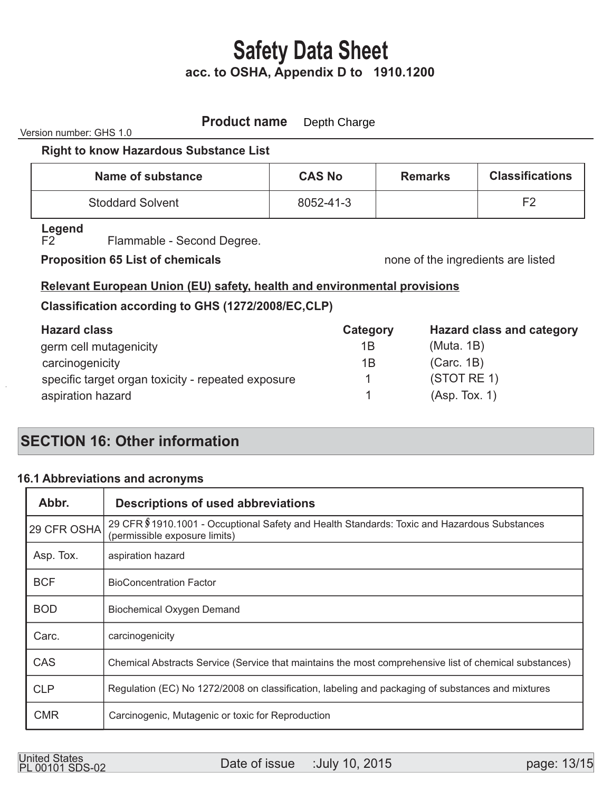#### **Product name** Depth Charge

Version number: GHS 1.0

#### **Right to know Hazardous Substance List**

| Name of substance       | <b>CAS No</b> | <b>Remarks</b> | <b>Classifications</b> |
|-------------------------|---------------|----------------|------------------------|
| <b>Stoddard Solvent</b> | 8052-41-3     |                | E?                     |

# **Legend**

Flammable - Second Degree.

### **Proposition 65 List of chemicals none of the ingredients are listed**

### **Relevant European Union (EU) safety, health and environmental provisions**

### **Classification according to GHS (1272/2008/EC,CLP)**

| <b>Hazard class</b>                                | Category | <b>Hazard class and category</b> |
|----------------------------------------------------|----------|----------------------------------|
| germ cell mutagenicity                             | 1B       | (Muta. 1B)                       |
| carcinogenicity                                    | 1Β       | (Carc. 1B)                       |
| specific target organ toxicity - repeated exposure |          | (STOTRE 1)                       |
| aspiration hazard                                  |          | (Asp. Tox. 1)                    |

# **SECTION 16: Other information**

### **Abbreviations and acronyms 16.1**

| Abbr.       | <b>Descriptions of used abbreviations</b>                                                                                     |
|-------------|-------------------------------------------------------------------------------------------------------------------------------|
| 29 CFR OSHA | 29 CFR \$1910.1001 - Occuptional Safety and Health Standards: Toxic and Hazardous Substances<br>(permissible exposure limits) |
| Asp. Tox.   | aspiration hazard                                                                                                             |
| <b>BCF</b>  | <b>BioConcentration Factor</b>                                                                                                |
| <b>BOD</b>  | <b>Biochemical Oxygen Demand</b>                                                                                              |
| Carc.       | carcinogenicity                                                                                                               |
| <b>CAS</b>  | Chemical Abstracts Service (Service that maintains the most comprehensive list of chemical substances)                        |
| <b>CLP</b>  | Regulation (EC) No 1272/2008 on classification, labeling and packaging of substances and mixtures                             |
| <b>CMR</b>  | Carcinogenic, Mutagenic or toxic for Reproduction                                                                             |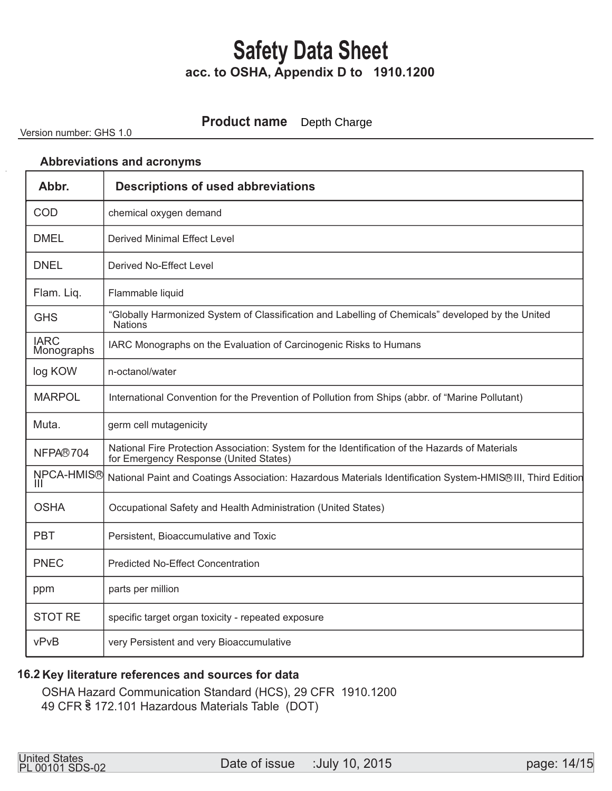#### **Product name** Depth Charge

Version number: GHS 1.0

#### **Abbreviations and acronyms**

| Abbr.                     | <b>Descriptions of used abbreviations</b>                                                                                                 |
|---------------------------|-------------------------------------------------------------------------------------------------------------------------------------------|
| COD                       | chemical oxygen demand                                                                                                                    |
| <b>DMEL</b>               | <b>Derived Minimal Effect Level</b>                                                                                                       |
| <b>DNEL</b>               | Derived No-Effect Level                                                                                                                   |
| Flam. Liq.                | Flammable liquid                                                                                                                          |
| <b>GHS</b>                | "Globally Harmonized System of Classification and Labelling of Chemicals" developed by the United<br><b>Nations</b>                       |
| <b>IARC</b><br>Monographs | IARC Monographs on the Evaluation of Carcinogenic Risks to Humans                                                                         |
| log KOW                   | n-octanol/water                                                                                                                           |
| <b>MARPOL</b>             | International Convention for the Prevention of Pollution from Ships (abbr. of "Marine Pollutant)                                          |
| Muta.                     | germ cell mutagenicity                                                                                                                    |
| NFPA®704                  | National Fire Protection Association: System for the Identification of the Hazards of Materials<br>for Emergency Response (United States) |
| NPCA-HMIS®<br>Ш           | National Paint and Coatings Association: Hazardous Materials Identification System-HMIS® III, Third Edition                               |
| <b>OSHA</b>               | Occupational Safety and Health Administration (United States)                                                                             |
| <b>PBT</b>                | Persistent, Bioaccumulative and Toxic                                                                                                     |
| <b>PNEC</b>               | <b>Predicted No-Effect Concentration</b>                                                                                                  |
| ppm                       | parts per million                                                                                                                         |
| <b>STOT RE</b>            | specific target organ toxicity - repeated exposure                                                                                        |
| vPvB                      | very Persistent and very Bioaccumulative                                                                                                  |

#### **Key literature references and sources for data 16.2**

 OSHA Hazard Communication Standard (HCS), 29 CFR 1910.1200 49 CFR § 172.101 Hazardous Materials Table (DOT)